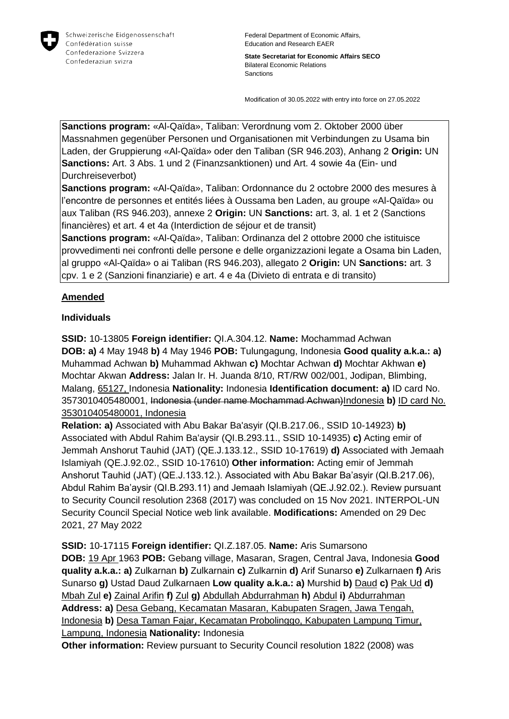

Federal Department of Economic Affairs, Education and Research EAER

**State Secretariat for Economic Affairs SECO** Bilateral Economic Relations **Sanctions** 

Modification of 30.05.2022 with entry into force on 27.05.2022

**Sanctions program:** «Al-Qaïda», Taliban: Verordnung vom 2. Oktober 2000 über Massnahmen gegenüber Personen und Organisationen mit Verbindungen zu Usama bin Laden, der Gruppierung «Al-Qaïda» oder den Taliban (SR 946.203), Anhang 2 **Origin:** UN **Sanctions:** Art. 3 Abs. 1 und 2 (Finanzsanktionen) und Art. 4 sowie 4a (Ein- und Durchreiseverbot)

**Sanctions program:** «Al-Qaïda», Taliban: Ordonnance du 2 octobre 2000 des mesures à l'encontre de personnes et entités liées à Oussama ben Laden, au groupe «Al-Qaïda» ou aux Taliban (RS 946.203), annexe 2 **Origin:** UN **Sanctions:** art. 3, al. 1 et 2 (Sanctions financières) et art. 4 et 4a (Interdiction de séjour et de transit)

**Sanctions program:** «Al-Qaïda», Taliban: Ordinanza del 2 ottobre 2000 che istituisce provvedimenti nei confronti delle persone e delle organizzazioni legate a Osama bin Laden, al gruppo «Al-Qaïda» o ai Taliban (RS 946.203), allegato 2 **Origin:** UN **Sanctions:** art. 3 cpv. 1 e 2 (Sanzioni finanziarie) e art. 4 e 4a (Divieto di entrata e di transito)

## **Amended**

## **Individuals**

**SSID:** 10-13805 **Foreign identifier:** QI.A.304.12. **Name:** Mochammad Achwan **DOB: a)** 4 May 1948 **b)** 4 May 1946 **POB:** Tulungagung, Indonesia **Good quality a.k.a.: a)**  Muhammad Achwan **b)** Muhammad Akhwan **c)** Mochtar Achwan **d)** Mochtar Akhwan **e)**  Mochtar Akwan **Address:** Jalan Ir. H. Juanda 8/10, RT/RW 002/001, Jodipan, Blimbing, Malang, 65127, Indonesia **Nationality:** Indonesia **Identification document: a)** ID card No. 3573010405480001, Indonesia (under name Mochammad Achwan)Indonesia **b)** ID card No. 353010405480001, Indonesia

**Relation: a)** Associated with Abu Bakar Ba'asyir (QI.B.217.06., SSID 10-14923) **b)**  Associated with Abdul Rahim Ba'aysir (QI.B.293.11., SSID 10-14935) **c)** Acting emir of Jemmah Anshorut Tauhid (JAT) (QE.J.133.12., SSID 10-17619) **d)** Associated with Jemaah Islamiyah (QE.J.92.02., SSID 10-17610) **Other information:** Acting emir of Jemmah Anshorut Tauhid (JAT) (QE.J.133.12.). Associated with Abu Bakar Ba'asyir (QI.B.217.06), Abdul Rahim Ba'aysir (QI.B.293.11) and Jemaah Islamiyah (QE.J.92.02.). Review pursuant to Security Council resolution 2368 (2017) was concluded on 15 Nov 2021. INTERPOL-UN Security Council Special Notice web link available. **Modifications:** Amended on 29 Dec 2021, 27 May 2022

**SSID:** 10-17115 **Foreign identifier:** QI.Z.187.05. **Name:** Aris Sumarsono **DOB:** 19 Apr 1963 **POB:** Gebang village, Masaran, Sragen, Central Java, Indonesia **Good quality a.k.a.: a)** Zulkarnan **b)** Zulkarnain **c)** Zulkarnin **d)** Arif Sunarso **e)** Zulkarnaen **f)** Aris Sunarso **g)** Ustad Daud Zulkarnaen **Low quality a.k.a.: a)** Murshid **b)** Daud **c)** Pak Ud **d)**  Mbah Zul **e)** Zainal Arifin **f)** Zul **g)** Abdullah Abdurrahman **h)** Abdul **i)** Abdurrahman **Address: a)** Desa Gebang, Kecamatan Masaran, Kabupaten Sragen, Jawa Tengah, Indonesia **b)** Desa Taman Fajar, Kecamatan Probolinggo, Kabupaten Lampung Timur, Lampung, Indonesia **Nationality:** Indonesia

**Other information:** Review pursuant to Security Council resolution 1822 (2008) was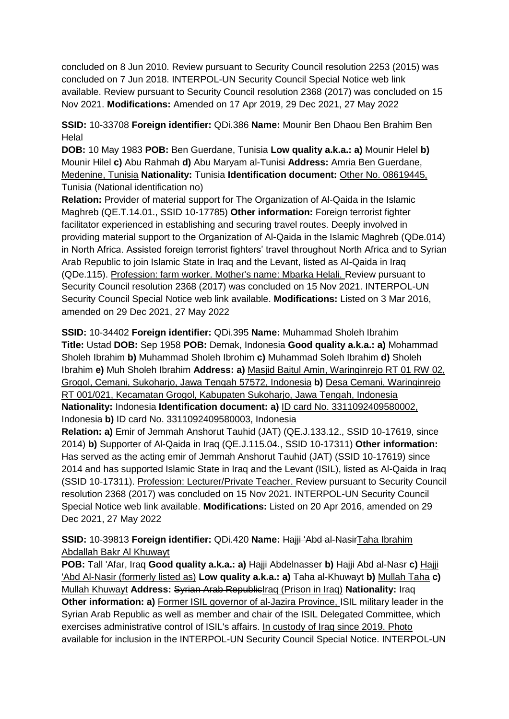concluded on 8 Jun 2010. Review pursuant to Security Council resolution 2253 (2015) was concluded on 7 Jun 2018. INTERPOL-UN Security Council Special Notice web link available. Review pursuant to Security Council resolution 2368 (2017) was concluded on 15 Nov 2021. **Modifications:** Amended on 17 Apr 2019, 29 Dec 2021, 27 May 2022

**SSID:** 10-33708 **Foreign identifier:** QDi.386 **Name:** Mounir Ben Dhaou Ben Brahim Ben **Helal** 

**DOB:** 10 May 1983 **POB:** Ben Guerdane, Tunisia **Low quality a.k.a.: a)** Mounir Helel **b)**  Mounir Hilel **c)** Abu Rahmah **d)** Abu Maryam al-Tunisi **Address:** Amria Ben Guerdane, Medenine, Tunisia **Nationality:** Tunisia **Identification document:** Other No. 08619445, Tunisia (National identification no)

**Relation:** Provider of material support for The Organization of Al-Qaida in the Islamic Maghreb (QE.T.14.01., SSID 10-17785) **Other information:** Foreign terrorist fighter facilitator experienced in establishing and securing travel routes. Deeply involved in providing material support to the Organization of Al-Qaida in the Islamic Maghreb (QDe.014) in North Africa. Assisted foreign terrorist fighters' travel throughout North Africa and to Syrian Arab Republic to join Islamic State in Iraq and the Levant, listed as Al-Qaida in Iraq (QDe.115). Profession: farm worker. Mother's name: Mbarka Helali. Review pursuant to Security Council resolution 2368 (2017) was concluded on 15 Nov 2021. INTERPOL-UN Security Council Special Notice web link available. **Modifications:** Listed on 3 Mar 2016, amended on 29 Dec 2021, 27 May 2022

**SSID:** 10-34402 **Foreign identifier:** QDi.395 **Name:** Muhammad Sholeh Ibrahim **Title:** Ustad **DOB:** Sep 1958 **POB:** Demak, Indonesia **Good quality a.k.a.: a)** Mohammad Sholeh Ibrahim **b)** Muhammad Sholeh Ibrohim **c)** Muhammad Soleh Ibrahim **d)** Sholeh Ibrahim **e)** Muh Sholeh Ibrahim **Address: a)** Masjid Baitul Amin, Waringinrejo RT 01 RW 02, Grogol, Cemani, Sukoharjo, Jawa Tengah 57572, Indonesia **b)** Desa Cemani, Waringinrejo RT 001/021, Kecamatan Grogol, Kabupaten Sukoharjo, Jawa Tengah, Indonesia **Nationality:** Indonesia **Identification document: a)** ID card No. 3311092409580002, Indonesia **b)** ID card No. 3311092409580003, Indonesia

**Relation: a)** Emir of Jemmah Anshorut Tauhid (JAT) (QE.J.133.12., SSID 10-17619, since 2014) **b)** Supporter of Al-Qaida in Iraq (QE.J.115.04., SSID 10-17311) **Other information:** Has served as the acting emir of Jemmah Anshorut Tauhid (JAT) (SSID 10-17619) since 2014 and has supported Islamic State in Iraq and the Levant (ISIL), listed as Al-Qaida in Iraq (SSID 10-17311). Profession: Lecturer/Private Teacher. Review pursuant to Security Council resolution 2368 (2017) was concluded on 15 Nov 2021. INTERPOL-UN Security Council Special Notice web link available. **Modifications:** Listed on 20 Apr 2016, amended on 29 Dec 2021, 27 May 2022

**SSID:** 10-39813 **Foreign identifier:** QDi.420 **Name:** Hajji 'Abd al-NasirTaha Ibrahim Abdallah Bakr Al Khuwayt

**POB:** Tall 'Afar, Iraq **Good quality a.k.a.: a)** Hajji Abdelnasser **b)** Hajji Abd al-Nasr **c)** Hajji 'Abd Al-Nasir (formerly listed as) **Low quality a.k.a.: a)** Taha al-Khuwayt **b)** Mullah Taha **c)**  Mullah Khuwayt **Address:** Syrian Arab RepublicIraq (Prison in Iraq) **Nationality:** Iraq **Other information: a) Former ISIL governor of al-Jazira Province, ISIL military leader in the** Syrian Arab Republic as well as member and chair of the ISIL Delegated Committee, which exercises administrative control of ISIL's affairs. In custody of Iraq since 2019. Photo available for inclusion in the INTERPOL-UN Security Council Special Notice. INTERPOL-UN